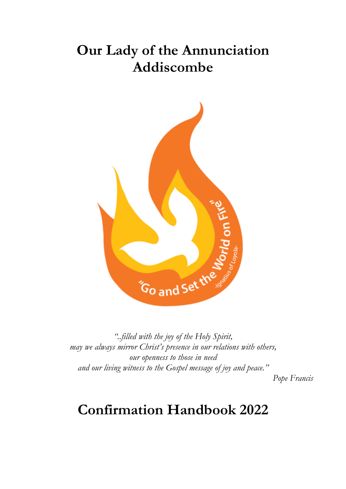# **Our Lady of the Annunciation Addiscombe**



*"..filled with the joy of the Holy Spirit, may we always mirror Christ's presence in our relations with others, our openness to those in need and our living witness to the Gospel message of joy and peace."* 

*Pope Francis*

# **Confirmation Handbook 2022**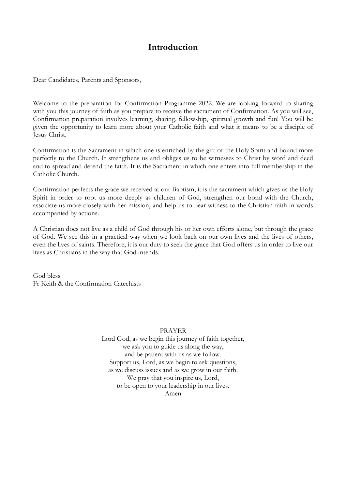### **Introduction**

Dear Candidates, Parents and Sponsors,

Welcome to the preparation for Confirmation Programme 2022. We are looking forward to sharing with you this journey of faith as you prepare to receive the sacrament of Confirmation. As you will see, Confirmation preparation involves learning, sharing, fellowship, spiritual growth and fun! You will be given the opportunity to learn more about your Catholic faith and what it means to be a disciple of Jesus Christ.

Confirmation is the Sacrament in which one is enriched by the gift of the Holy Spirit and bound more perfectly to the Church. It strengthens us and obliges us to be witnesses to Christ by word and deed and to spread and defend the faith. It is the Sacrament in which one enters into full membership in the Catholic Church.

Confirmation perfects the grace we received at our Baptism; it is the sacrament which gives us the Holy Spirit in order to root us more deeply as children of God, strengthen our bond with the Church, associate us more closely with her mission, and help us to bear witness to the Christian faith in words accompanied by actions.

A Christian does not live as a child of God through his or her own efforts alone, but through the grace of God. We see this in a practical way when we look back on our own lives and the lives of others, even the lives of saints. Therefore, it is our duty to seek the grace that God offers us in order to live our lives as Christians in the way that God intends.

God bless Fr Keith & the Confirmation Catechists

#### PRAYER

Lord God, as we begin this journey of faith together, we ask you to guide us along the way, and be patient with us as we follow. Support us, Lord, as we begin to ask questions, as we discuss issues and as we grow in our faith. We pray that you inspire us, Lord, to be open to your leadership in our lives. Amen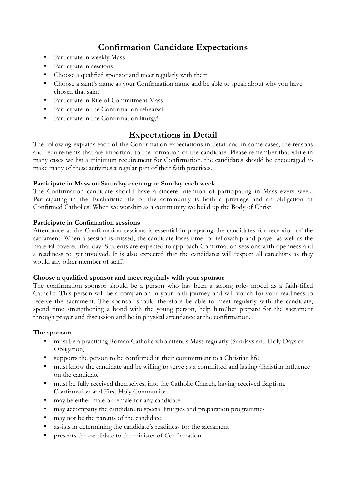## **Confirmation Candidate Expectations**

- Participate in weekly Mass
- Participate in sessions
- Choose a qualified sponsor and meet regularly with them
- Choose a saint's name as your Confirmation name and be able to speak about why you have chosen that saint
- Participate in Rite of Commitment Mass
- Participate in the Confirmation rehearsal
- Participate in the Confirmation liturgy!

### **Expectations in Detail**

The following explains each of the Confirmation expectations in detail and in some cases, the reasons and requirements that are important to the formation of the candidate. Please remember that while in many cases we list a minimum requirement for Confirmation, the candidates should be encouraged to make many of these activities a regular part of their faith practices.

#### **Participate in Mass on Saturday evening or Sunday each week**

The Confirmation candidate should have a sincere intention of participating in Mass every week. Participating in the Eucharistic life of the community is both a privilege and an obligation of Confirmed Catholics. When we worship as a community we build up the Body of Christ.

#### **Participate in Confirmation sessions**

Attendance at the Confirmation sessions is essential in preparing the candidates for reception of the sacrament. When a session is missed, the candidate loses time for fellowship and prayer as well as the material covered that day. Students are expected to approach Confirmation sessions with openness and a readiness to get involved. It is also expected that the candidates will respect all catechists as they would any other member of staff.

#### **Choose a qualified sponsor and meet regularly with your sponsor**

The confirmation sponsor should be a person who has been a strong role- model as a faith-filled Catholic. This person will be a companion in your faith journey and will vouch for your readiness to receive the sacrament. The sponsor should therefore be able to meet regularly with the candidate, spend time strengthening a bond with the young person, help him/her prepare for the sacrament through prayer and discussion and be in physical attendance at the confirmation.

#### **The sponsor:**

- must be a practising Roman Catholic who attends Mass regularly (Sundays and Holy Days of Obligation)
- supports the person to be confirmed in their commitment to a Christian life
- must know the candidate and be willing to serve as a committed and lasting Christian influence on the candidate
- must be fully received themselves, into the Catholic Church, having received Baptism, Confirmation and First Holy Communion
- may be either male or female for any candidate
- may accompany the candidate to special liturgies and preparation programmes
- may not be the parents of the candidate
- assists in determining the candidate's readiness for the sacrament
- presents the candidate to the minister of Confirmation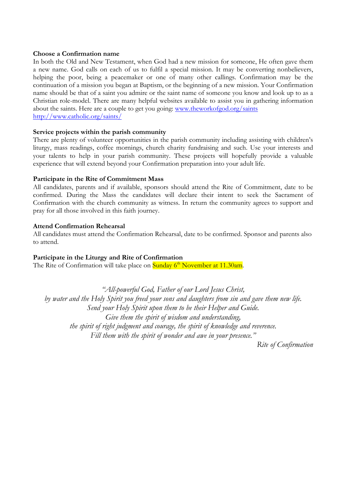#### **Choose a Confirmation name**

In both the Old and New Testament, when God had a new mission for someone, He often gave them a new name. God calls on each of us to fulfil a special mission. It may be converting nonbelievers, helping the poor, being a peacemaker or one of many other callings. Confirmation may be the continuation of a mission you began at Baptism, or the beginning of a new mission. Your Confirmation name should be that of a saint you admire or the saint name of someone you know and look up to as a Christian role-model. There are many helpful websites available to assist you in gathering information about the saints. Here are a couple to get you going: www.theworkofgod.org/saints http://www.catholic.org/saints/

#### **Service projects within the parish community**

There are plenty of volunteer opportunities in the parish community including assisting with children's liturgy, mass readings, coffee mornings, church charity fundraising and such. Use your interests and your talents to help in your parish community. These projects will hopefully provide a valuable experience that will extend beyond your Confirmation preparation into your adult life.

#### **Participate in the Rite of Commitment Mass**

All candidates, parents and if available, sponsors should attend the Rite of Commitment, date to be confirmed. During the Mass the candidates will declare their intent to seek the Sacrament of Confirmation with the church community as witness. In return the community agrees to support and pray for all those involved in this faith journey.

#### **Attend Confirmation Rehearsal**

All candidates must attend the Confirmation Rehearsal, date to be confirmed. Sponsor and parents also to attend.

#### **Participate in the Liturgy and Rite of Confirmation**

The Rite of Confirmation will take place on  $\frac{\text{Sunday } 6^{\text{th}} \text{November at } 11.30 \text{am}}{6.66 \text{ ft}}$ 

*"All-powerful God, Father of our Lord Jesus Christ, by water and the Holy Spirit you freed your sons and daughters from sin and gave them new life. Send your Holy Spirit upon them to be their Helper and Guide. Give them the spirit of wisdom and understanding, the spirit of right judgment and courage, the spirit of knowledge and reverence. Fill them with the spirit of wonder and awe in your presence."*

*Rite of Confirmation*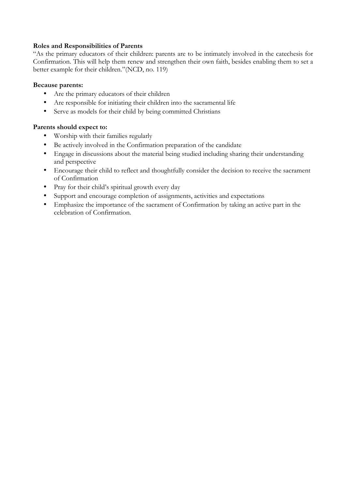#### **Roles and Responsibilities of Parents**

"As the primary educators of their children: parents are to be intimately involved in the catechesis for Confirmation. This will help them renew and strengthen their own faith, besides enabling them to set a better example for their children."(NCD, no. 119)

#### **Because parents:**

- Are the primary educators of their children
- Are responsible for initiating their children into the sacramental life
- Serve as models for their child by being committed Christians

#### **Parents should expect to:**

- Worship with their families regularly
- Be actively involved in the Confirmation preparation of the candidate
- Engage in discussions about the material being studied including sharing their understanding and perspective
- Encourage their child to reflect and thoughtfully consider the decision to receive the sacrament of Confirmation
- Pray for their child's spiritual growth every day
- Support and encourage completion of assignments, activities and expectations
- Emphasize the importance of the sacrament of Confirmation by taking an active part in the celebration of Confirmation.